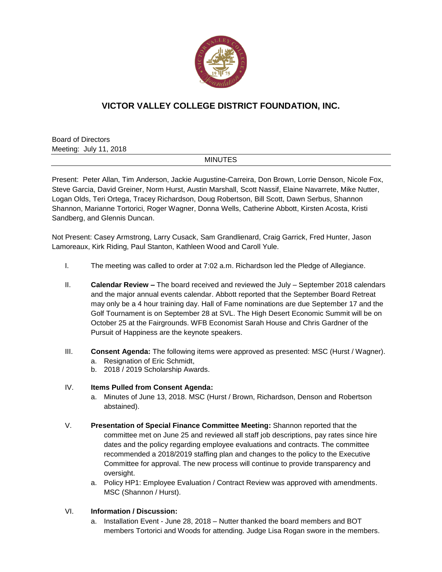

# **VICTOR VALLEY COLLEGE DISTRICT FOUNDATION, INC.**

Board of Directors Meeting: July 11, 2018

### MINUTES

Present: Peter Allan, Tim Anderson, Jackie Augustine-Carreira, Don Brown, Lorrie Denson, Nicole Fox, Steve Garcia, David Greiner, Norm Hurst, Austin Marshall, Scott Nassif, Elaine Navarrete, Mike Nutter, Logan Olds, Teri Ortega, Tracey Richardson, Doug Robertson, Bill Scott, Dawn Serbus, Shannon Shannon, Marianne Tortorici, Roger Wagner, Donna Wells, Catherine Abbott, Kirsten Acosta, Kristi Sandberg, and Glennis Duncan.

Not Present: Casey Armstrong, Larry Cusack, Sam Grandlienard, Craig Garrick, Fred Hunter, Jason Lamoreaux, Kirk Riding, Paul Stanton, Kathleen Wood and Caroll Yule.

- I. The meeting was called to order at 7:02 a.m. Richardson led the Pledge of Allegiance.
- II. **Calendar Review –** The board received and reviewed the July September 2018 calendars and the major annual events calendar. Abbott reported that the September Board Retreat may only be a 4 hour training day. Hall of Fame nominations are due September 17 and the Golf Tournament is on September 28 at SVL. The High Desert Economic Summit will be on October 25 at the Fairgrounds. WFB Economist Sarah House and Chris Gardner of the Pursuit of Happiness are the keynote speakers.
- III. **Consent Agenda:** The following items were approved as presented: MSC (Hurst / Wagner).
	- a. Resignation of Eric Schmidt,
	- b. 2018 / 2019 Scholarship Awards.

### IV. **Items Pulled from Consent Agenda:**

- a. Minutes of June 13, 2018. MSC (Hurst / Brown, Richardson, Denson and Robertson abstained).
- V. **Presentation of Special Finance Committee Meeting:** Shannon reported that the committee met on June 25 and reviewed all staff job descriptions, pay rates since hire dates and the policy regarding employee evaluations and contracts. The committee recommended a 2018/2019 staffing plan and changes to the policy to the Executive Committee for approval. The new process will continue to provide transparency and oversight.
	- a. Policy HP1: Employee Evaluation / Contract Review was approved with amendments. MSC (Shannon / Hurst).

### VI. **Information / Discussion:**

a. Installation Event - June 28, 2018 – Nutter thanked the board members and BOT members Tortorici and Woods for attending. Judge Lisa Rogan swore in the members.